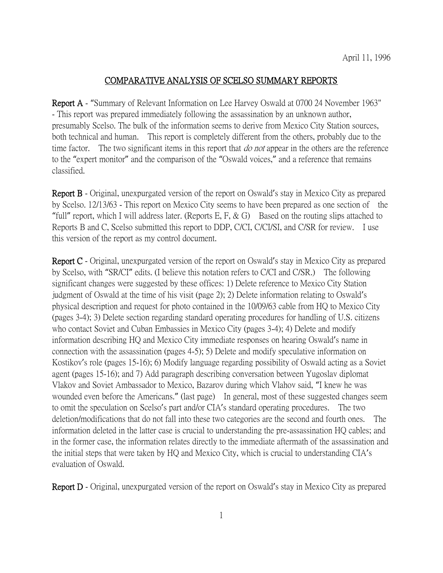## COMPARATIVE ANALYSIS OF SCELSO SUMMARY REPORTS

Report A - "Summary of Relevant Information on Lee Harvey Oswald at 0700 24 November 1963" - This report was prepared immediately following the assassination by an unknown author, presumably Scelso. The bulk of the information seems to derive from Mexico City Station sources, both technical and human. This report is completely different from the others, probably due to the time factor. The two significant items in this report that *do not* appear in the others are the reference to the "expert monitor" and the comparison of the "Oswald voices," and a reference that remains classified.

Report B - Original, unexpurgated version of the report on Oswald's stay in Mexico City as prepared by Scelso. 12/13/63 - This report on Mexico City seems to have been prepared as one section of the "full" report, which I will address later. (Reports E, F,  $\&$  G) Based on the routing slips attached to Reports B and C, Scelso submitted this report to DDP, C/CI, C/CI/SI, and C/SR for review. I use this version of the report as my control document.

Report C - Original, unexpurgated version of the report on Oswald's stay in Mexico City as prepared by Scelso, with "SR/CI" edits. (I believe this notation refers to C/CI and C/SR.) The following significant changes were suggested by these offices: 1) Delete reference to Mexico City Station judgment of Oswald at the time of his visit (page 2); 2) Delete information relating to Oswald's physical description and request for photo contained in the 10/09/63 cable from HQ to Mexico City (pages 3-4); 3) Delete section regarding standard operating procedures for handling of U.S. citizens who contact Soviet and Cuban Embassies in Mexico City (pages 3-4); 4) Delete and modify information describing HQ and Mexico City immediate responses on hearing Oswald's name in connection with the assassination (pages 4-5); 5) Delete and modify speculative information on Kostikov's role (pages 15-16); 6) Modify language regarding possibility of Oswald acting as a Soviet agent (pages 15-16); and 7) Add paragraph describing conversation between Yugoslav diplomat Vlakov and Soviet Ambassador to Mexico, Bazarov during which Vlahov said, "I knew he was wounded even before the Americans." (last page) In general, most of these suggested changes seem to omit the speculation on Scelso's part and/or CIA's standard operating procedures. The two deletion/modifications that do not fall into these two categories are the second and fourth ones. The information deleted in the latter case is crucial to understanding the pre-assassination HQ cables; and in the former case, the information relates directly to the immediate aftermath of the assassination and the initial steps that were taken by HQ and Mexico City, which is crucial to understanding CIA's evaluation of Oswald.

Report D - Original, unexpurgated version of the report on Oswald's stay in Mexico City as prepared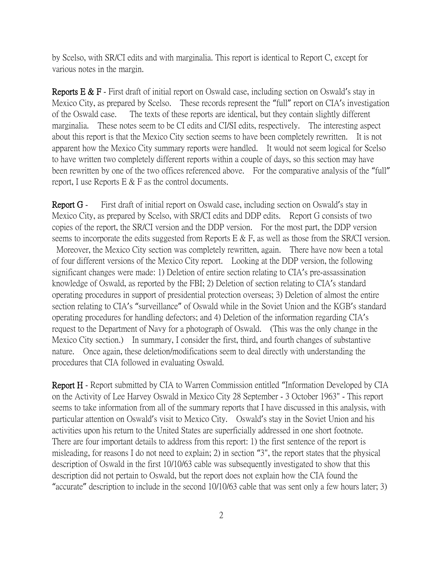by Scelso, with SR/CI edits and with marginalia. This report is identical to Report C, except for various notes in the margin.

**Reports E & F** - First draft of initial report on Oswald case, including section on Oswald's stay in Mexico City, as prepared by Scelso. These records represent the "full" report on CIA's investigation of the Oswald case. The texts of these reports are identical, but they contain slightly different marginalia. These notes seem to be CI edits and CI/SI edits, respectively. The interesting aspect about this report is that the Mexico City section seems to have been completely rewritten. It is not apparent how the Mexico City summary reports were handled. It would not seem logical for Scelso to have written two completely different reports within a couple of days, so this section may have been rewritten by one of the two offices referenced above. For the comparative analysis of the "full" report, I use Reports E  $&$  F as the control documents.

Report G - First draft of initial report on Oswald case, including section on Oswald's stay in Mexico City, as prepared by Scelso, with SR/CI edits and DDP edits. Report G consists of two copies of the report, the SR/CI version and the DDP version. For the most part, the DDP version seems to incorporate the edits suggested from Reports E & F, as well as those from the SR/CI version. Moreover, the Mexico City section was completely rewritten, again. There have now been a total of four different versions of the Mexico City report. Looking at the DDP version, the following significant changes were made: 1) Deletion of entire section relating to CIA's pre-assassination knowledge of Oswald, as reported by the FBI; 2) Deletion of section relating to CIA's standard operating procedures in support of presidential protection overseas; 3) Deletion of almost the entire section relating to CIA's "surveillance" of Oswald while in the Soviet Union and the KGB's standard operating procedures for handling defectors; and 4) Deletion of the information regarding CIA's request to the Department of Navy for a photograph of Oswald. (This was the only change in the Mexico City section.) In summary, I consider the first, third, and fourth changes of substantive nature. Once again, these deletion/modifications seem to deal directly with understanding the procedures that CIA followed in evaluating Oswald.

Report H - Report submitted by CIA to Warren Commission entitled "Information Developed by CIA on the Activity of Lee Harvey Oswald in Mexico City 28 September - 3 October 1963" - This report seems to take information from all of the summary reports that I have discussed in this analysis, with particular attention on Oswald's visit to Mexico City. Oswald's stay in the Soviet Union and his activities upon his return to the United States are superficially addressed in one short footnote. There are four important details to address from this report: 1) the first sentence of the report is misleading, for reasons I do not need to explain; 2) in section "3", the report states that the physical description of Oswald in the first 10/10/63 cable was subsequently investigated to show that this description did not pertain to Oswald, but the report does not explain how the CIA found the "accurate" description to include in the second 10/10/63 cable that was sent only a few hours later; 3)